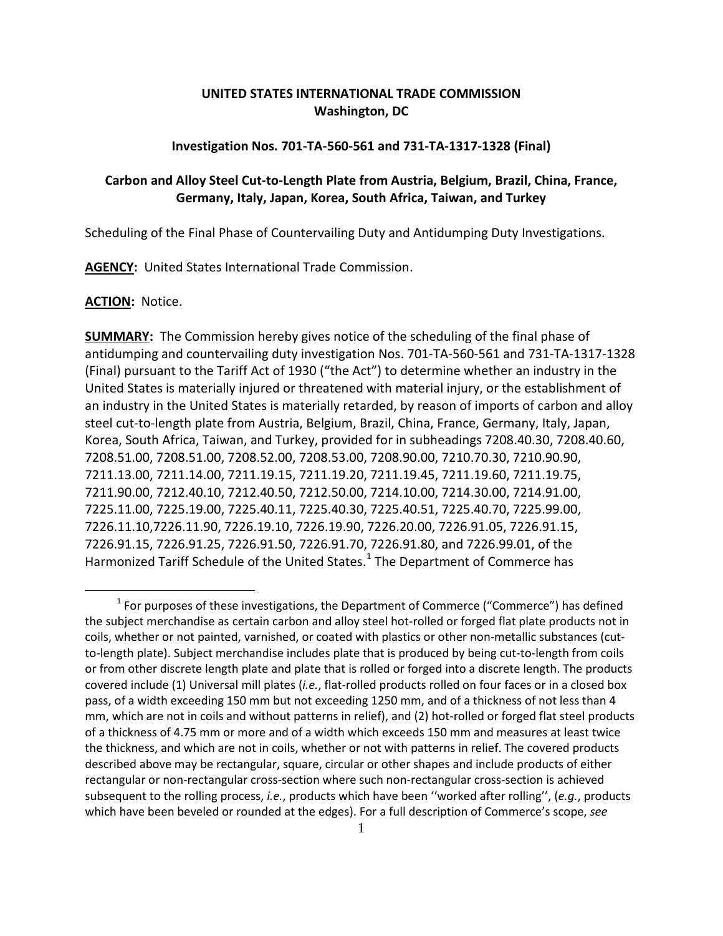# **UNITED STATES INTERNATIONAL TRADE COMMISSION Washington, DC**

#### **Investigation Nos. 701-TA-560-561 and 731-TA-1317-1328 (Final)**

# **Carbon and Alloy Steel Cut-to-Length Plate from Austria, Belgium, Brazil, China, France, Germany, Italy, Japan, Korea, South Africa, Taiwan, and Turkey**

Scheduling of the Final Phase of Countervailing Duty and Antidumping Duty Investigations.

**AGENCY:** United States International Trade Commission.

#### **ACTION:** Notice.

 $\overline{a}$ 

**SUMMARY:** The Commission hereby gives notice of the scheduling of the final phase of antidumping and countervailing duty investigation Nos. 701-TA-560-561 and 731-TA-1317-1328 (Final) pursuant to the Tariff Act of 1930 ("the Act") to determine whether an industry in the United States is materially injured or threatened with material injury, or the establishment of an industry in the United States is materially retarded, by reason of imports of carbon and alloy steel cut-to-length plate from Austria, Belgium, Brazil, China, France, Germany, Italy, Japan, Korea, South Africa, Taiwan, and Turkey, provided for in subheadings 7208.40.30, 7208.40.60, 7208.51.00, 7208.51.00, 7208.52.00, 7208.53.00, 7208.90.00, 7210.70.30, 7210.90.90, 7211.13.00, 7211.14.00, 7211.19.15, 7211.19.20, 7211.19.45, 7211.19.60, 7211.19.75, 7211.90.00, 7212.40.10, 7212.40.50, 7212.50.00, 7214.10.00, 7214.30.00, 7214.91.00, 7225.11.00, 7225.19.00, 7225.40.11, 7225.40.30, 7225.40.51, 7225.40.70, 7225.99.00, 7226.11.10,7226.11.90, 7226.19.10, 7226.19.90, 7226.20.00, 7226.91.05, 7226.91.15, 7226.91.15, 7226.91.25, 7226.91.50, 7226.91.70, 7226.91.80, and 7226.99.01, of the Harmonized Tariff Schedule of the United States.<sup>[1](#page-0-0)</sup> The Department of Commerce has

<span id="page-0-0"></span> $<sup>1</sup>$  For purposes of these investigations, the Department of Commerce ("Commerce") has defined</sup> the subject merchandise as certain carbon and alloy steel hot-rolled or forged flat plate products not in coils, whether or not painted, varnished, or coated with plastics or other non-metallic substances (cutto-length plate). Subject merchandise includes plate that is produced by being cut-to-length from coils or from other discrete length plate and plate that is rolled or forged into a discrete length. The products covered include (1) Universal mill plates (*i.e.*, flat-rolled products rolled on four faces or in a closed box pass, of a width exceeding 150 mm but not exceeding 1250 mm, and of a thickness of not less than 4 mm, which are not in coils and without patterns in relief), and (2) hot-rolled or forged flat steel products of a thickness of 4.75 mm or more and of a width which exceeds 150 mm and measures at least twice the thickness, and which are not in coils, whether or not with patterns in relief. The covered products described above may be rectangular, square, circular or other shapes and include products of either rectangular or non-rectangular cross-section where such non-rectangular cross-section is achieved subsequent to the rolling process, *i.e.*, products which have been ''worked after rolling'', (*e.g.*, products which have been beveled or rounded at the edges). For a full description of Commerce's scope, *see*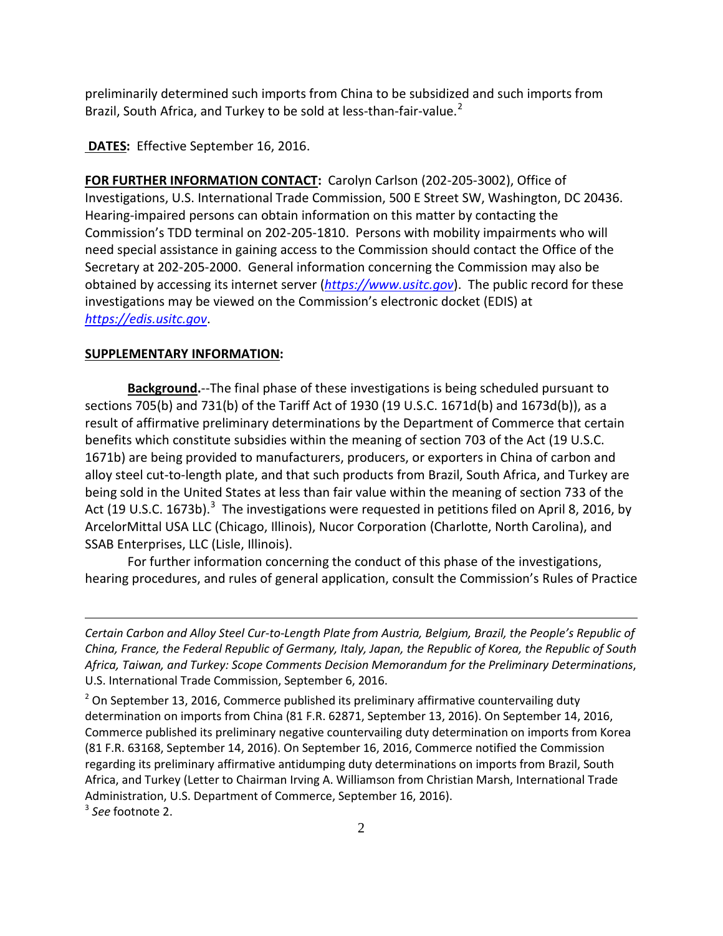preliminarily determined such imports from China to be subsidized and such imports from Brazil, South Africa, and Turkey to be sold at less-than-fair-value.<sup>[2](#page-1-0)</sup>

**DATES:** Effective September 16, 2016.

**FOR FURTHER INFORMATION CONTACT:** Carolyn Carlson (202-205-3002), Office of Investigations, U.S. International Trade Commission, 500 E Street SW, Washington, DC 20436. Hearing-impaired persons can obtain information on this matter by contacting the Commission's TDD terminal on 202-205-1810. Persons with mobility impairments who will need special assistance in gaining access to the Commission should contact the Office of the Secretary at 202-205-2000. General information concerning the Commission may also be obtained by accessing its internet server (*[https://www.usitc.gov](https://www.usitc.gov/)*). The public record for these investigations may be viewed on the Commission's electronic docket (EDIS) at *[https://edis.usitc.gov](https://edis.usitc.gov/)*.

### **SUPPLEMENTARY INFORMATION:**

**Background.**--The final phase of these investigations is being scheduled pursuant to sections 705(b) and 731(b) of the Tariff Act of 1930 (19 U.S.C. 1671d(b) and 1673d(b)), as a result of affirmative preliminary determinations by the Department of Commerce that certain benefits which constitute subsidies within the meaning of section 703 of the Act (19 U.S.C. 1671b) are being provided to manufacturers, producers, or exporters in China of carbon and alloy steel cut-to-length plate, and that such products from Brazil, South Africa, and Turkey are being sold in the United States at less than fair value within the meaning of section 733 of the Act (19 U.S.C. 167[3](#page-1-1)b).<sup>3</sup> The investigations were requested in petitions filed on April 8, 2016, by ArcelorMittal USA LLC (Chicago, Illinois), Nucor Corporation (Charlotte, North Carolina), and SSAB Enterprises, LLC (Lisle, Illinois).

For further information concerning the conduct of this phase of the investigations, hearing procedures, and rules of general application, consult the Commission's Rules of Practice

 $\overline{a}$ 

*Certain Carbon and Alloy Steel Cur-to-Length Plate from Austria, Belgium, Brazil, the People's Republic of China, France, the Federal Republic of Germany, Italy, Japan, the Republic of Korea, the Republic of South Africa, Taiwan, and Turkey: Scope Comments Decision Memorandum for the Preliminary Determinations*, U.S. International Trade Commission, September 6, 2016.

<span id="page-1-0"></span> $2$  On September 13, 2016, Commerce published its preliminary affirmative countervailing duty determination on imports from China (81 F.R. 62871, September 13, 2016). On September 14, 2016, Commerce published its preliminary negative countervailing duty determination on imports from Korea (81 F.R. 63168, September 14, 2016). On September 16, 2016, Commerce notified the Commission regarding its preliminary affirmative antidumping duty determinations on imports from Brazil, South Africa, and Turkey (Letter to Chairman Irving A. Williamson from Christian Marsh, International Trade Administration, U.S. Department of Commerce, September 16, 2016).

<span id="page-1-1"></span><sup>3</sup> *See* footnote 2.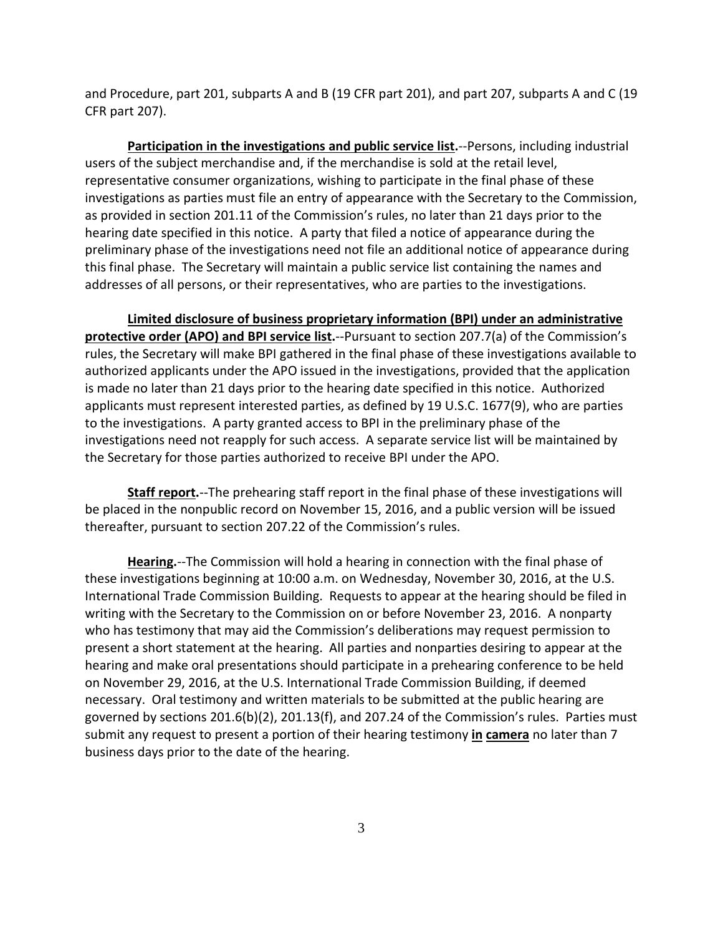and Procedure, part 201, subparts A and B (19 CFR part 201), and part 207, subparts A and C (19 CFR part 207).

**Participation in the investigations and public service list.**--Persons, including industrial users of the subject merchandise and, if the merchandise is sold at the retail level, representative consumer organizations, wishing to participate in the final phase of these investigations as parties must file an entry of appearance with the Secretary to the Commission, as provided in section 201.11 of the Commission's rules, no later than 21 days prior to the hearing date specified in this notice. A party that filed a notice of appearance during the preliminary phase of the investigations need not file an additional notice of appearance during this final phase. The Secretary will maintain a public service list containing the names and addresses of all persons, or their representatives, who are parties to the investigations.

**Limited disclosure of business proprietary information (BPI) under an administrative protective order (APO) and BPI service list.**--Pursuant to section 207.7(a) of the Commission's rules, the Secretary will make BPI gathered in the final phase of these investigations available to authorized applicants under the APO issued in the investigations, provided that the application is made no later than 21 days prior to the hearing date specified in this notice. Authorized applicants must represent interested parties, as defined by 19 U.S.C. 1677(9), who are parties to the investigations. A party granted access to BPI in the preliminary phase of the investigations need not reapply for such access. A separate service list will be maintained by the Secretary for those parties authorized to receive BPI under the APO.

**Staff report.**--The prehearing staff report in the final phase of these investigations will be placed in the nonpublic record on November 15, 2016, and a public version will be issued thereafter, pursuant to section 207.22 of the Commission's rules.

**Hearing.**--The Commission will hold a hearing in connection with the final phase of these investigations beginning at 10:00 a.m. on Wednesday, November 30, 2016, at the U.S. International Trade Commission Building. Requests to appear at the hearing should be filed in writing with the Secretary to the Commission on or before November 23, 2016. A nonparty who has testimony that may aid the Commission's deliberations may request permission to present a short statement at the hearing. All parties and nonparties desiring to appear at the hearing and make oral presentations should participate in a prehearing conference to be held on November 29, 2016, at the U.S. International Trade Commission Building, if deemed necessary. Oral testimony and written materials to be submitted at the public hearing are governed by sections 201.6(b)(2), 201.13(f), and 207.24 of the Commission's rules. Parties must submit any request to present a portion of their hearing testimony **in camera** no later than 7 business days prior to the date of the hearing.